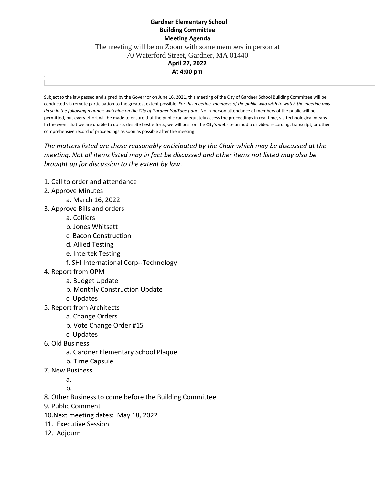## **Gardner Elementary School Building Committee Meeting Agenda** The meeting will be on Zoom with some members in person at 70 Waterford Street, Gardner, MA 01440 **April 27, 2022 At 4:00 pm**

Subject to the law passed and signed by the Governor on June 16, 2021, this meeting of the City of Gardner School Building Committee will be conducted via remote participation to the greatest extent possible. *For this meeting, members of the public who wish to watch the meeting may do so in the following manner: watching on the City of Gardner YouTube page*. No in-person attendance of members of the public will be permitted, but every effort will be made to ensure that the public can adequately access the proceedings in real time, via technological means. In the event that we are unable to do so, despite best efforts, we will post on the City's website an audio or video recording, transcript, or other comprehensive record of proceedings as soon as possible after the meeting.

*The matters listed are those reasonably anticipated by the Chair which may be discussed at the meeting. Not all items listed may in fact be discussed and other items not listed may also be brought up for discussion to the extent by law*.

- 1. Call to order and attendance
- 2. Approve Minutes
	- a. March 16, 2022
- 3. Approve Bills and orders
	- a. Colliers
	- b. Jones Whitsett
	- c. Bacon Construction
	- d. Allied Testing
	- e. Intertek Testing
	- f. SHI International Corp--Technology
- 4. Report from OPM
	- a. Budget Update
	- b. Monthly Construction Update
	- c. Updates
- 5. Report from Architects
	- a. Change Orders
	- b. Vote Change Order #15
	- c. Updates
- 6. Old Business
	- a. Gardner Elementary School Plaque
	- b. Time Capsule
- 7. New Business
	- a.

b.

- 8. Other Business to come before the Building Committee
- 9. Public Comment
- 10.Next meeting dates: May 18, 2022
- 11. Executive Session
- 12. Adjourn